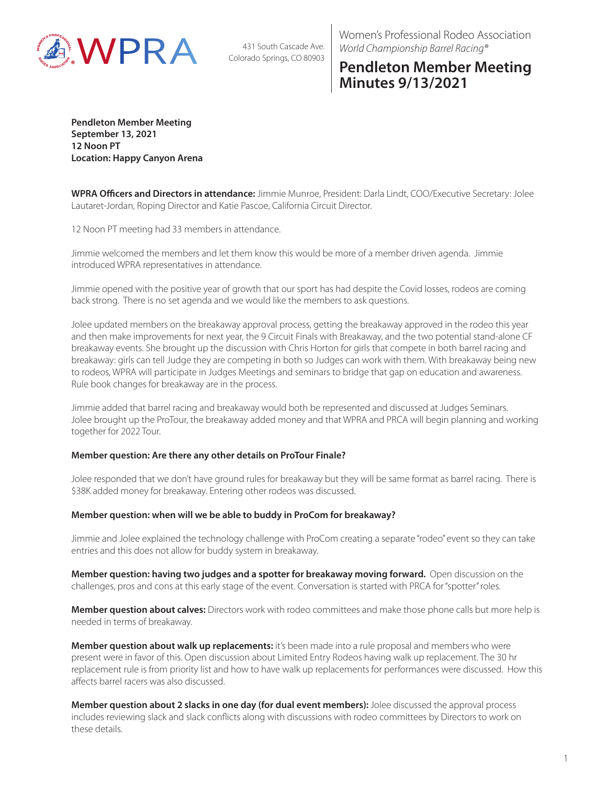

431 South Cascade Ave. Colorado Springs, CO 80903 Women's Professional Rodeo Association *World Championship Barrel Racing®*

## **Pendleton Member Meeting Minutes 9/13/2021**

**Pendleton Member Meeting September 13, 2021 12 Noon PT Location: Happy Canyon Arena**

**WPRA Officers and Directors in attendance:** Jimmie Munroe, President: Darla Lindt, COO/Executive Secretary: Jolee Lautaret-Jordan, Roping Director and Katie Pascoe, California Circuit Director.

12 Noon PT meeting had 33 members in attendance.

Jimmie welcomed the members and let them know this would be more of a member driven agenda. Jimmie introduced WPRA representatives in attendance.

Jimmie opened with the positive year of growth that our sport has had despite the Covid losses, rodeos are coming back strong. There is no set agenda and we would like the members to ask questions.

Jolee updated members on the breakaway approval process, getting the breakaway approved in the rodeo this year and then make improvements for next year, the 9 Circuit Finals with Breakaway, and the two potential stand-alone CF breakaway events. She brought up the discussion with Chris Horton for girls that compete in both barrel racing and breakaway: girls can tell Judge they are competing in both so Judges can work with them. With breakaway being new to rodeos, WPRA will participate in Judges Meetings and seminars to bridge that gap on education and awareness. Rule book changes for breakaway are in the process.

Jimmie added that barrel racing and breakaway would both be represented and discussed at Judges Seminars. Jolee brought up the ProTour, the breakaway added money and that WPRA and PRCA will begin planning and working together for 2022 Tour.

## **Member question: Are there any other details on ProTour Finale?**

Jolee responded that we don't have ground rules for breakaway but they will be same format as barrel racing. There is \$38K added money for breakaway. Entering other rodeos was discussed.

## **Member question: when will we be able to buddy in ProCom for breakaway?**

Jimmie and Jolee explained the technology challenge with ProCom creating a separate "rodeo" event so they can take entries and this does not allow for buddy system in breakaway.

**Member question: having two judges and a spotter for breakaway moving forward.** Open discussion on the challenges, pros and cons at this early stage of the event. Conversation is started with PRCA for "spotter" roles.

**Member question about calves:** Directors work with rodeo committees and make those phone calls but more help is needed in terms of breakaway.

**Member question about walk up replacements:** it's been made into a rule proposal and members who were present were in favor of this. Open discussion about Limited Entry Rodeos having walk up replacement. The 30 hr replacement rule is from priority list and how to have walk up replacements for performances were discussed. How this affects barrel racers was also discussed.

**Member question about 2 slacks in one day (for dual event members):** Jolee discussed the approval process includes reviewing slack and slack conflicts along with discussions with rodeo committees by Directors to work on these details.